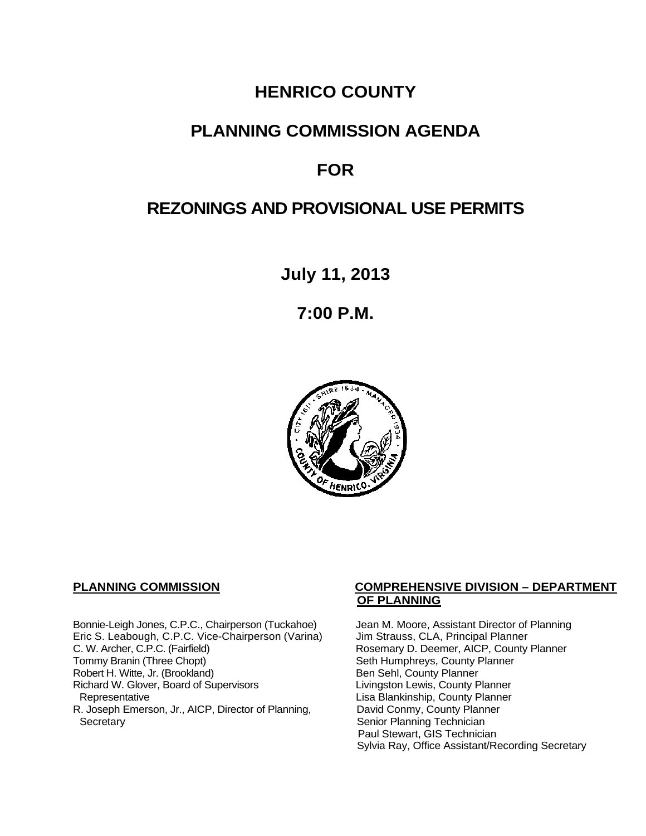# **HENRICO COUNTY**

## **PLANNING COMMISSION AGENDA**

# **FOR**

# **REZONINGS AND PROVISIONAL USE PERMITS**

**July 11, 2013**

**7:00 P.M.**



Bonnie-Leigh Jones, C.P.C., Chairperson (Tuckahoe) Jean M. Moore, Assistant Director of Planning<br>Eric S. Leabough, C.P.C. Vice-Chairperson (Varina) Jim Strauss, CLA, Principal Planner Eric S. Leabough, C.P.C. Vice-Chairperson (Varina)<br>C. W. Archer, C.P.C. (Fairfield) C. W. Archer, C.P.C. (Fairfield) Rosemary D. Deemer, AICP, County Planner<br>
Tommy Branin (Three Chopt) Seth Humphreys, County Planner Robert H. Witte, Jr. (Brookland)<br>
Richard W. Glover, Board of Supervisors<br>
Livingston Lewis, County Planner Richard W. Glover, Board of Supervisors<br>Representative R. Joseph Emerson, Jr., AICP, Director of Planning, Secretary

## **PLANNING COMMISSION COMPREHENSIVE DIVISION – DEPARTMENT OF PLANNING**

Seth Humphreys, County Planner<br>Ben Sehl, County Planner Lisa Blankinship, County Planner<br>David Conmy, County Planner Senior Planning Technician Paul Stewart, GIS Technician Sylvia Ray, Office Assistant/Recording Secretary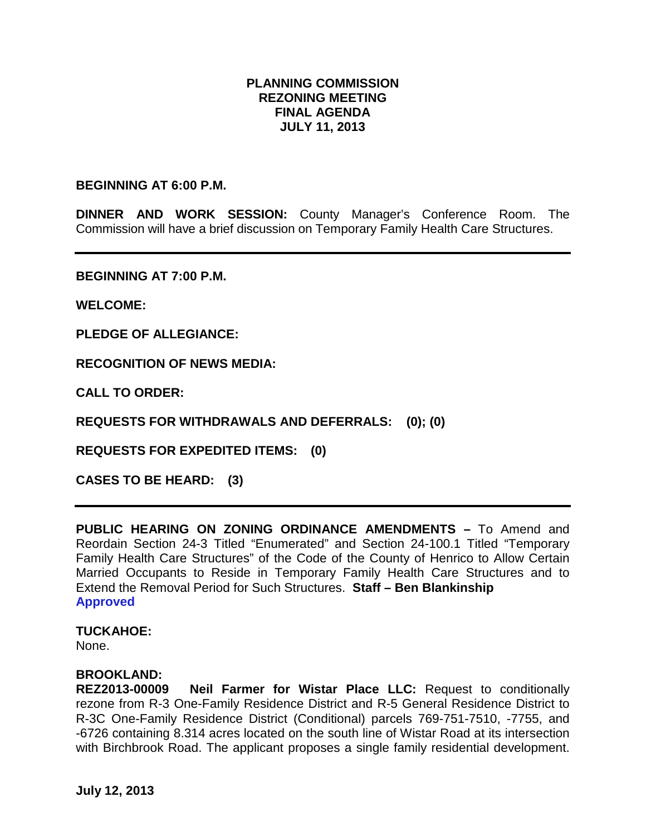## **PLANNING COMMISSION REZONING MEETING FINAL AGENDA JULY 11, 2013**

#### **BEGINNING AT 6:00 P.M.**

**DINNER AND WORK SESSION:** County Manager's Conference Room. The Commission will have a brief discussion on Temporary Family Health Care Structures.

**BEGINNING AT 7:00 P.M.**

**WELCOME:**

**PLEDGE OF ALLEGIANCE:**

**RECOGNITION OF NEWS MEDIA:**

**CALL TO ORDER:**

**REQUESTS FOR WITHDRAWALS AND DEFERRALS: (0); (0)**

**REQUESTS FOR EXPEDITED ITEMS: (0)**

**CASES TO BE HEARD: (3)**

**PUBLIC HEARING ON ZONING ORDINANCE AMENDMENTS –** To Amend and Reordain Section 24-3 Titled "Enumerated" and Section 24-100.1 Titled "Temporary Family Health Care Structures" of the Code of the County of Henrico to Allow Certain Married Occupants to Reside in Temporary Family Health Care Structures and to Extend the Removal Period for Such Structures. **Staff – Ben Blankinship Approved**

## **TUCKAHOE:**

None.

### **BROOKLAND:**

**REZ2013-00009 Neil Farmer for Wistar Place LLC:** Request to conditionally rezone from R-3 One-Family Residence District and R-5 General Residence District to R-3C One-Family Residence District (Conditional) parcels 769-751-7510, -7755, and -6726 containing 8.314 acres located on the south line of Wistar Road at its intersection with Birchbrook Road. The applicant proposes a single family residential development.